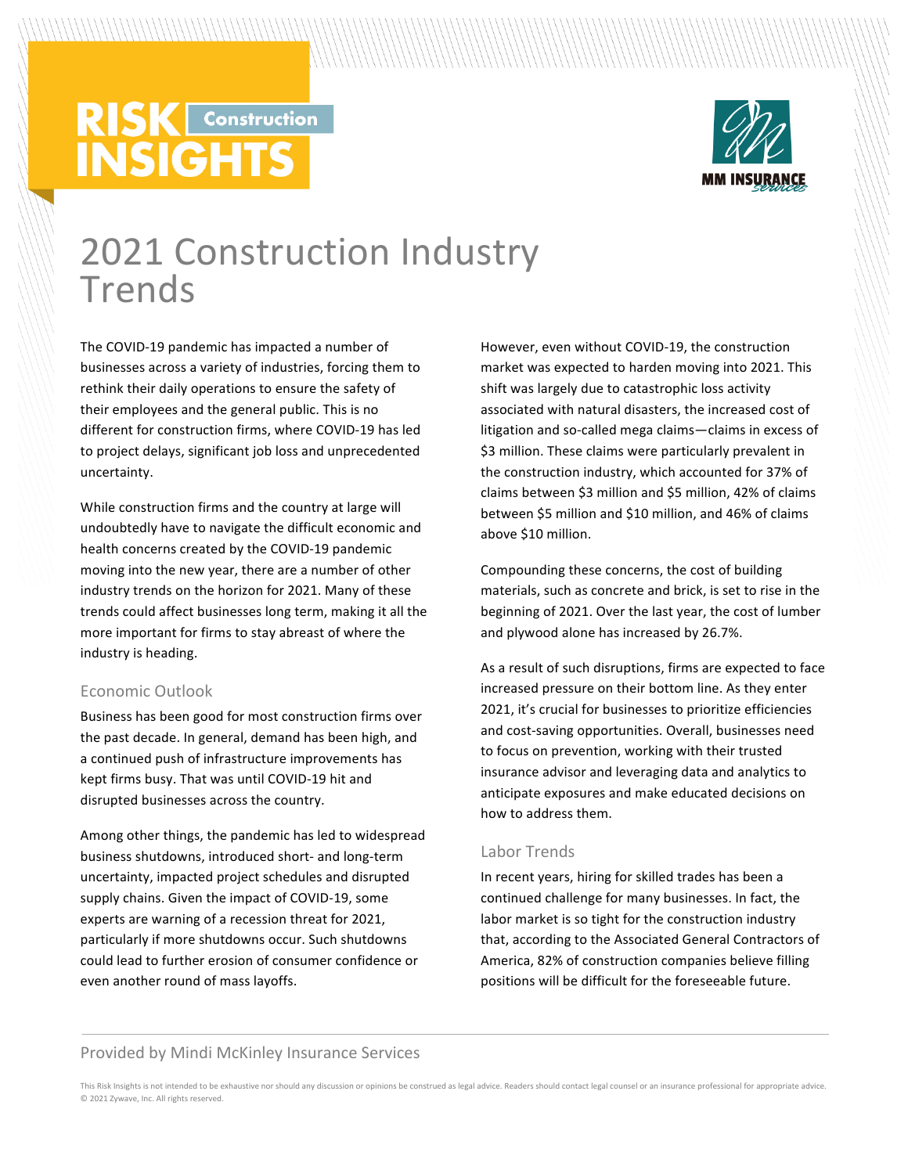# **RISK** Construction **INSIGHTS**



# 2021 Construction Industry Trends

The COVID-19 pandemic has impacted a number of businesses across a variety of industries, forcing them to rethink their daily operations to ensure the safety of their employees and the general public. This is no different for construction firms, where COVID-19 has led to project delays, significant job loss and unprecedented uncertainty.

While construction firms and the country at large will undoubtedly have to navigate the difficult economic and health concerns created by the COVID-19 pandemic moving into the new year, there are a number of other industry trends on the horizon for 2021. Many of these trends could affect businesses long term, making it all the more important for firms to stay abreast of where the industry is heading.

# Economic Outlook

Business has been good for most construction firms over the past decade. In general, demand has been high, and a continued push of infrastructure improvements has kept firms busy. That was until COVID-19 hit and disrupted businesses across the country.

Among other things, the pandemic has led to widespread business shutdowns, introduced short- and long-term uncertainty, impacted project schedules and disrupted supply chains. Given the impact of COVID-19, some experts are warning of a recession threat for 2021, particularly if more shutdowns occur. Such shutdowns could lead to further erosion of consumer confidence or even another round of mass layoffs.

However, even without COVID-19, the construction market was expected to harden moving into 2021. This shift was largely due to catastrophic loss activity associated with natural disasters, the increased cost of litigation and so-called mega claims—claims in excess of \$3 million. These claims were particularly prevalent in the construction industry, which accounted for 37% of claims between \$3 million and \$5 million, 42% of claims between \$5 million and \$10 million, and 46% of claims above \$10 million.

Compounding these concerns, the cost of building materials, such as concrete and brick, is set to rise in the beginning of 2021. Over the last year, the cost of lumber and plywood alone has increased by 26.7%.

As a result of such disruptions, firms are expected to face increased pressure on their bottom line. As they enter 2021, it's crucial for businesses to prioritize efficiencies and cost-saving opportunities. Overall, businesses need to focus on prevention, working with their trusted insurance advisor and leveraging data and analytics to anticipate exposures and make educated decisions on how to address them.

# Labor Trends

In recent years, hiring for skilled trades has been a continued challenge for many businesses. In fact, the labor market is so tight for the construction industry that, according to the Associated General Contractors of America, 82% of construction companies believe filling positions will be difficult for the foreseeable future.

# Provided by Mindi McKinley Insurance Services

This Risk Insights is not intended to be exhaustive nor should any discussion or opinions be construed as legal advice. Readers should contact legal counsel or an insurance professional for appropriate advice. © 2021 Zywave, Inc. All rights reserved.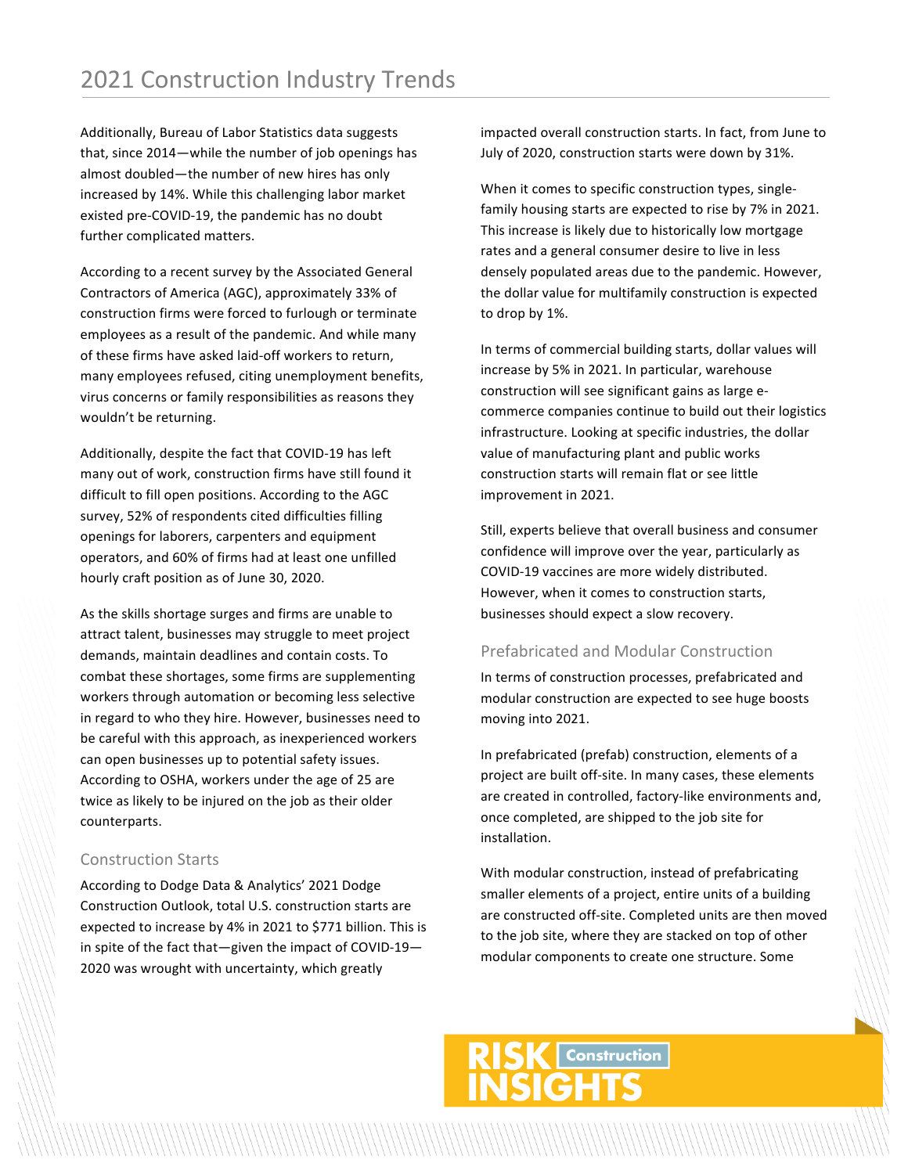Additionally, Bureau of Labor Statistics data suggests that, since  $2014$ —while the number of job openings has almost doubled—the number of new hires has only increased by 14%. While this challenging labor market existed pre-COVID-19, the pandemic has no doubt further complicated matters.

According to a recent survey by the Associated General Contractors of America (AGC), approximately 33% of construction firms were forced to furlough or terminate employees as a result of the pandemic. And while many of these firms have asked laid-off workers to return, many employees refused, citing unemployment benefits, virus concerns or family responsibilities as reasons they wouldn't be returning.

Additionally, despite the fact that COVID-19 has left many out of work, construction firms have still found it difficult to fill open positions. According to the AGC survey, 52% of respondents cited difficulties filling openings for laborers, carpenters and equipment operators, and 60% of firms had at least one unfilled hourly craft position as of June 30, 2020.

As the skills shortage surges and firms are unable to attract talent, businesses may struggle to meet project demands, maintain deadlines and contain costs. To combat these shortages, some firms are supplementing workers through automation or becoming less selective in regard to who they hire. However, businesses need to be careful with this approach, as inexperienced workers can open businesses up to potential safety issues. According to OSHA, workers under the age of 25 are twice as likely to be injured on the job as their older counterparts. 

### Construction Starts

According to Dodge Data & Analytics' 2021 Dodge Construction Outlook, total U.S. construction starts are expected to increase by 4% in 2021 to \$771 billion. This is in spite of the fact that-given the impact of COVID-19-2020 was wrought with uncertainty, which greatly

impacted overall construction starts. In fact, from June to July of 2020, construction starts were down by 31%.

When it comes to specific construction types, singlefamily housing starts are expected to rise by 7% in 2021. This increase is likely due to historically low mortgage rates and a general consumer desire to live in less densely populated areas due to the pandemic. However, the dollar value for multifamily construction is expected to drop by 1%.

In terms of commercial building starts, dollar values will increase by 5% in 2021. In particular, warehouse construction will see significant gains as large ecommerce companies continue to build out their logistics infrastructure. Looking at specific industries, the dollar value of manufacturing plant and public works construction starts will remain flat or see little improvement in 2021.

Still, experts believe that overall business and consumer confidence will improve over the year, particularly as COVID-19 vaccines are more widely distributed. However, when it comes to construction starts, businesses should expect a slow recovery.

# Prefabricated and Modular Construction

In terms of construction processes, prefabricated and modular construction are expected to see huge boosts moving into 2021.

In prefabricated (prefab) construction, elements of a project are built off-site. In many cases, these elements are created in controlled, factory-like environments and, once completed, are shipped to the job site for installation.

With modular construction, instead of prefabricating smaller elements of a project, entire units of a building are constructed off-site. Completed units are then moved to the job site, where they are stacked on top of other modular components to create one structure. Some